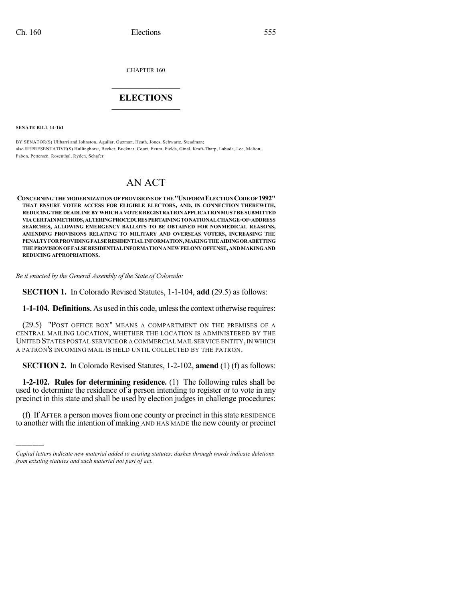CHAPTER 160

# $\mathcal{L}_\text{max}$  . The set of the set of the set of the set of the set of the set of the set of the set of the set of the set of the set of the set of the set of the set of the set of the set of the set of the set of the set **ELECTIONS**  $\_$

**SENATE BILL 14-161**

)))))

BY SENATOR(S) Ulibarri and Johnston, Aguilar, Guzman, Heath, Jones, Schwartz, Steadman; also REPRESENTATIVE(S) Hullinghorst, Becker, Buckner, Court, Exum, Fields, Ginal, Kraft-Tharp, Labuda, Lee, Melton, Pabon, Pettersen, Rosenthal, Ryden, Schafer.

# AN ACT

**CONCERNINGTHE MODERNIZATION OF PROVISIONSOFTHE"UNIFORM ELECTION CODEOF1992" THAT ENSURE VOTER ACCESS FOR ELIGIBLE ELECTORS, AND, IN CONNECTION THEREWITH, REDUCINGTHEDEADLINEBYWHICHAVOTERREGISTRATIONAPPLICATIONMUSTBESUBMITTED VIACERTAINMETHODS,ALTERINGPROCEDURESPERTAININGTONATIONALCHANGE-OF-ADDRESS SEARCHES, ALLOWING EMERGENCY BALLOTS TO BE OBTAINED FOR NONMEDICAL REASONS, AMENDING PROVISIONS RELATING TO MILITARY AND OVERSEAS VOTERS, INCREASING THE PENALTYFORPROVIDINGFALSERESIDENTIALINFORMATION,MAKINGTHEAIDINGORABETTING THEPROVISIONOFFALSERESIDENTIALINFORMATIONANEWFELONYOFFENSE,ANDMAKINGAND REDUCING APPROPRIATIONS.**

*Be it enacted by the General Assembly of the State of Colorado:*

**SECTION 1.** In Colorado Revised Statutes, 1-1-104, **add** (29.5) as follows:

**1-1-104. Definitions.** As used in this code, unlessthe context otherwise requires:

(29.5) "POST OFFICE BOX" MEANS A COMPARTMENT ON THE PREMISES OF A CENTRAL MAILING LOCATION, WHETHER THE LOCATION IS ADMINISTERED BY THE UNITED STATES POSTAL SERVICE OR A COMMERCIAL MAIL SERVICE ENTITY, IN WHICH A PATRON'S INCOMING MAIL IS HELD UNTIL COLLECTED BY THE PATRON.

**SECTION 2.** In Colorado Revised Statutes, 1-2-102, **amend** (1) (f) as follows:

**1-2-102. Rules for determining residence.** (1) The following rules shall be used to determine the residence of a person intending to register or to vote in any precinct in this state and shall be used by election judges in challenge procedures:

(f) If AFTER a person moves from one county or precinct in this state RESIDENCE to another with the intention of making AND HAS MADE the new county or precinct

*Capital letters indicate new material added to existing statutes; dashes through words indicate deletions from existing statutes and such material not part of act.*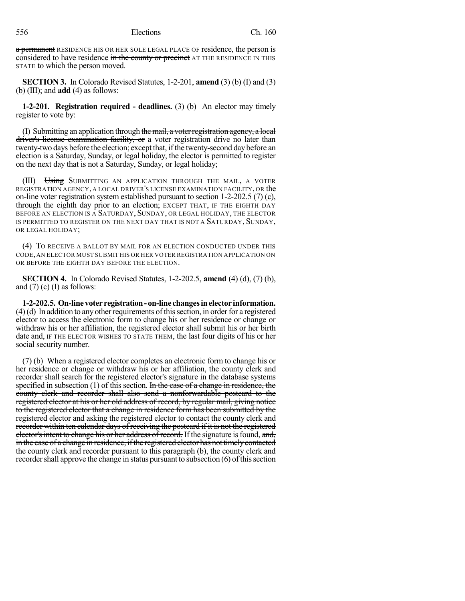a permanent RESIDENCE HIS OR HER SOLE LEGAL PLACE OF residence, the person is considered to have residence in the county or precinct AT THE RESIDENCE IN THIS STATE to which the person moved.

**SECTION 3.** In Colorado Revised Statutes, 1-2-201, **amend** (3) (b) (I) and (3) (b) (III); and **add** (4) as follows:

**1-2-201. Registration required - deadlines.** (3) (b) An elector may timely register to vote by:

(I) Submitting an application through the mail, a voter registration agency, a local driver's license examination facility, or a voter registration drive no later than twenty-two days before the election; except that, ifthe twenty-second day before an election is a Saturday, Sunday, or legal holiday, the elector is permitted to register on the next day that is not a Saturday, Sunday, or legal holiday;

(III) Using SUBMITTING AN APPLICATION THROUGH THE MAIL, A VOTER REGISTRATION AGENCY, A LOCAL DRIVER'S LICENSE EXAMINATION FACILITY, OR the on-line voter registration system established pursuant to section 1-2-202.5 (7) (c), through the eighth day prior to an election; EXCEPT THAT, IF THE EIGHTH DAY BEFORE AN ELECTION IS A SATURDAY, SUNDAY, OR LEGAL HOLIDAY, THE ELECTOR IS PERMITTED TO REGISTER ON THE NEXT DAY THAT IS NOT A SATURDAY, SUNDAY, OR LEGAL HOLIDAY;

(4) TO RECEIVE A BALLOT BY MAIL FOR AN ELECTION CONDUCTED UNDER THIS CODE, AN ELECTOR MUST SUBMIT HIS OR HER VOTER REGISTRATION APPLICATION ON OR BEFORE THE EIGHTH DAY BEFORE THE ELECTION.

**SECTION 4.** In Colorado Revised Statutes, 1-2-202.5, **amend** (4) (d), (7) (b), and  $(7)$  (c) (I) as follows:

**1-2-202.5. On-linevoter registration- on-line changesinelector information.**  $(4)(d)$  In addition to any other requirements of this section, in order for a registered elector to access the electronic form to change his or her residence or change or withdraw his or her affiliation, the registered elector shall submit his or her birth date and, IF THE ELECTOR WISHES TO STATE THEM, the last four digits of his or her social security number.

(7) (b) When a registered elector completes an electronic form to change his or her residence or change or withdraw his or her affiliation, the county clerk and recorder shall search for the registered elector's signature in the database systems specified in subsection (1) of this section. In the case of a change in residence, the county clerk and recorder shall also send a nonforwardable postcard to the registered elector at his or her old address of record, by regular mail, giving notice to the registered elector that a change in residence form has been submitted by the registered elector and asking the registered elector to contact the county clerk and recorder within ten calendar days of receiving the postcard if it is not the registered elector's intent to change his or her address of record. If the signature is found, and, in the case of a change in residence, if the registered elector has not timely contacted the county clerk and recorder pursuant to this paragraph (b), the county clerk and recorder shall approve the change in status pursuant to subsection  $(6)$  of this section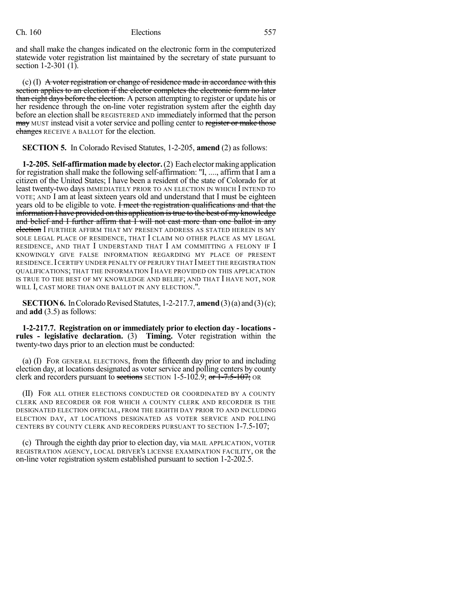and shall make the changes indicated on the electronic form in the computerized statewide voter registration list maintained by the secretary of state pursuant to section 1-2-301 (1).

 $(c)$  (I) A voter registration or change of residence made in accordance with this section applies to an election if the elector completes the electronic form no later than eight days before the election. A person attempting to register or update his or her residence through the on-line voter registration system after the eighth day before an election shall be REGISTERED AND immediately informed that the person may MUST instead visit a voter service and polling center to register or make those changes RECEIVE A BALLOT for the election.

**SECTION 5.** In Colorado Revised Statutes, 1-2-205, **amend** (2) as follows:

**1-2-205. Self-affirmationmadebyelector.**(2) Eachelectormakingapplication for registration shall make the following self-affirmation: "I, ...., affirm that I am a citizen of the United States; I have been a resident of the state of Colorado for at least twenty-two days IMMEDIATELY PRIOR TO AN ELECTION IN WHICH I INTEND TO VOTE; AND I am at least sixteen years old and understand that I must be eighteen years old to be eligible to vote. I meet the registration qualifications and that the information I have provided on this application is true to the best of my knowledge and belief and I further affirm that I will not cast more than one ballot in any election I FURTHER AFFIRM THAT MY PRESENT ADDRESS AS STATED HEREIN IS MY SOLE LEGAL PLACE OF RESIDENCE, THAT I CLAIM NO OTHER PLACE AS MY LEGAL RESIDENCE, AND THAT I UNDERSTAND THAT I AM COMMITTING A FELONY IF I KNOWINGLY GIVE FALSE INFORMATION REGARDING MY PLACE OF PRESENT RESIDENCE.ICERTIFY UNDER PENALTY OF PERJURY THAT IMEET THE REGISTRATION QUALIFICATIONS; THAT THE INFORMATION I HAVE PROVIDED ON THIS APPLICATION IS TRUE TO THE BEST OF MY KNOWLEDGE AND BELIEF; AND THAT I HAVE NOT, NOR WILL I, CAST MORE THAN ONE BALLOT IN ANY ELECTION.".

**SECTION 6.** In Colorado Revised Statutes,  $1-2-217.7$ , **amend**  $(3)(a)$  and  $(3)(c)$ ; and **add** (3.5) as follows:

**1-2-217.7. Registration on or immediately prior to election day - locations rules - legislative declaration.** (3) **Timing.** Voter registration within the twenty-two days prior to an election must be conducted:

(a) (I) FOR GENERAL ELECTIONS, from the fifteenth day prior to and including election day, at locations designated as voter service and polling centers by county clerk and recorders pursuant to sections SECTION 1-5-102.9; or  $1-7.5-107$ ; OR

(II) FOR ALL OTHER ELECTIONS CONDUCTED OR COORDINATED BY A COUNTY CLERK AND RECORDER OR FOR WHICH A COUNTY CLERK AND RECORDER IS THE DESIGNATED ELECTION OFFICIAL, FROM THE EIGHTH DAY PRIOR TO AND INCLUDING ELECTION DAY, AT LOCATIONS DESIGNATED AS VOTER SERVICE AND POLLING CENTERS BY COUNTY CLERK AND RECORDERS PURSUANT TO SECTION 1-7.5-107;

(c) Through the eighth day prior to election day, via MAIL APPLICATION, VOTER REGISTRATION AGENCY, LOCAL DRIVER'S LICENSE EXAMINATION FACILITY, OR the on-line voter registration system established pursuant to section 1-2-202.5.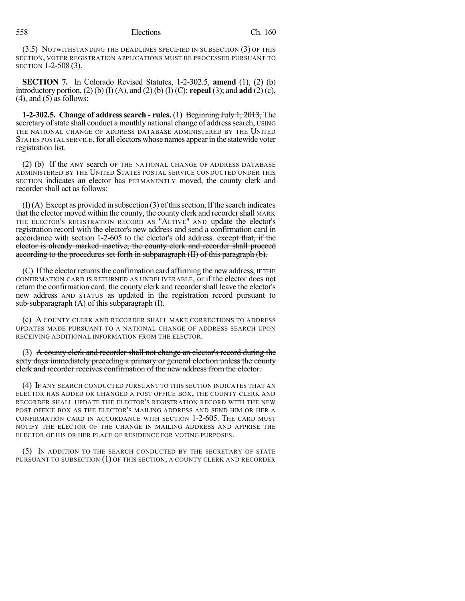(3.5) NOTWITHSTANDING THE DEADLINES SPECIFIED IN SUBSECTION (3) OF THIS SECTION, VOTER REGISTRATION APPLICATIONS MUST BE PROCESSED PURSUANT TO SECTION 1-2-508 (3).

**SECTION 7.** In Colorado Revised Statutes, 1-2-302.5, **amend** (1), (2) (b) introductory portion, (2) (b) (I) (A), and (2) (b) (I) (C); **repeal** (3); and **add** (2) (c),  $(4)$ , and  $(5)$  as follows:

**1-2-302.5. Change of address search - rules.** (1) Beginning July 1, 2013, The secretary of state shall conduct a monthly national change of address search, USING THE NATIONAL CHANGE OF ADDRESS DATABASE ADMINISTERED BY THE UNITED STATES POSTAL SERVICE, for all electors whose names appear in the statewide voter registration list.

(2) (b) If the ANY search OF THE NATIONAL CHANGE OF ADDRESS DATABASE ADMINISTERED BY THE UNITED STATES POSTAL SERVICE CONDUCTED UNDER THIS SECTION indicates an elector has PERMANENTLY moved, the county clerk and recorder shall act as follows:

 $(I)$  (A) Except as provided in subsection  $(3)$  of this section, If the search indicates that the elector moved within the county, the county clerk and recorder shall MARK THE ELECTOR'S REGISTRATION RECORD AS "ACTIVE" AND update the elector's registration record with the elector's new address and send a confirmation card in accordance with section 1-2-605 to the elector's old address. except that, if the elector is already marked inactive, the county clerk and recorder shall proceed according to the procedures set forth in subparagraph (II) of this paragraph (b).

 $(C)$  If the elector returns the confirmation card affirming the new address, IF THE CONFIRMATION CARD IS RETURNED AS UNDELIVERABLE, or if the elector does not return the confirmation card, the county clerk and recorder shall leave the elector's new address AND STATUS as updated in the registration record pursuant to sub-subparagraph (A) of this subparagraph (I).

(c) A COUNTY CLERK AND RECORDER SHALL MAKE CORRECTIONS TO ADDRESS UPDATES MADE PURSUANT TO A NATIONAL CHANGE OF ADDRESS SEARCH UPON RECEIVING ADDITIONAL INFORMATION FROM THE ELECTOR.

(3) A county clerk and recorder shall not change an elector's record during the sixty days immediately preceding a primary or general election unless the county clerk and recorder receives confirmation of the new address from the elector.

(4) IF ANY SEARCH CONDUCTED PURSUANT TO THIS SECTION INDICATES THAT AN ELECTOR HAS ADDED OR CHANGED A POST OFFICE BOX, THE COUNTY CLERK AND RECORDER SHALL UPDATE THE ELECTOR'S REGISTRATION RECORD WITH THE NEW POST OFFICE BOX AS THE ELECTOR'S MAILING ADDRESS AND SEND HIM OR HER A CONFIRMATION CARD IN ACCORDANCE WITH SECTION 1-2-605. THE CARD MUST NOTIFY THE ELECTOR OF THE CHANGE IN MAILING ADDRESS AND APPRISE THE ELECTOR OF HIS OR HER PLACE OF RESIDENCE FOR VOTING PURPOSES.

(5) IN ADDITION TO THE SEARCH CONDUCTED BY THE SECRETARY OF STATE PURSUANT TO SUBSECTION (1) OF THIS SECTION, A COUNTY CLERK AND RECORDER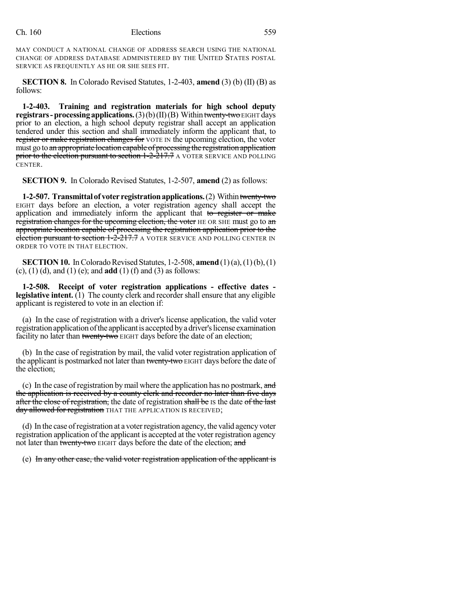MAY CONDUCT A NATIONAL CHANGE OF ADDRESS SEARCH USING THE NATIONAL CHANGE OF ADDRESS DATABASE ADMINISTERED BY THE UNITED STATES POSTAL SERVICE AS FREQUENTLY AS HE OR SHE SEES FIT.

**SECTION 8.** In Colorado Revised Statutes, 1-2-403, **amend** (3) (b) (II) (B) as follows:

**1-2-403. Training and registration materials for high school deputy registrars - processing applications.**  $(3)(b)(II)(B)$  Within twenty-two EIGHT days prior to an election, a high school deputy registrar shall accept an application tendered under this section and shall immediately inform the applicant that, to register or make registration changes for VOTE IN the upcoming election, the voter must go to an appropriate location capable of processing the registration application prior to the election pursuant to section 1-2-217.7 A VOTER SERVICE AND POLLING CENTER.

**SECTION 9.** In Colorado Revised Statutes, 1-2-507, **amend** (2) as follows:

**1-2-507. Transmittalof voter registrationapplications.**(2) Withintwenty-two EIGHT days before an election, a voter registration agency shall accept the application and immediately inform the applicant that to register or make registration changes for the upcoming election, the voter HE OR SHE must go to an appropriate location capable of processing the registration application prior to the election pursuant to section 1-2-217.7 A VOTER SERVICE AND POLLING CENTER IN ORDER TO VOTE IN THAT ELECTION.

**SECTION 10.** In Colorado Revised Statutes, 1-2-508, **amend** (1)(a), (1)(b), (1) (c), (1) (d), and (1) (e); and **add** (1) (f) and (3) as follows:

**1-2-508. Receipt of voter registration applications - effective dates legislative intent.** (1) The county clerk and recorder shall ensure that any eligible applicant is registered to vote in an election if:

(a) In the case of registration with a driver's license application, the valid voter registration application of the applicant is accepted by a driver's license examination facility no later than twenty-two EIGHT days before the date of an election;

(b) In the case of registration by mail, the valid voter registration application of the applicant is postmarked not later than twenty-two EIGHT days before the date of the election;

(c) In the case of registration by mail where the application has no postmark, and the application is received by a county clerk and recorder no later than five days after the close of registration, the date of registration shall be is the date of the last day allowed for registration THAT THE APPLICATION IS RECEIVED;

(d) In the case ofregistration at a voterregistration agency, the valid agencyvoter registration application of the applicant is accepted at the voter registration agency not later than twenty-two EIGHT days before the date of the election; and

(e) In any other case, the valid voter registration application of the applicant is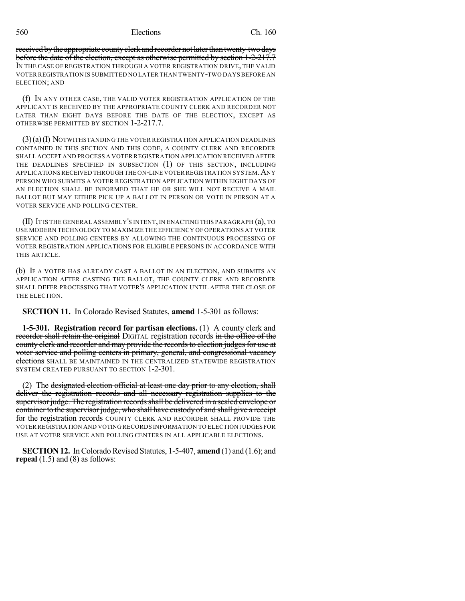received by the appropriate county clerk and recorder not later than twenty-two days before the date of the election, except as otherwise permitted by section 1-2-217.7 IN THE CASE OF REGISTRATION THROUGH A VOTER REGISTRATION DRIVE, THE VALID VOTER REGISTRATION IS SUBMITTED NO LATER THAN TWENTY-TWO DAYS BEFORE AN ELECTION; AND

(f) IN ANY OTHER CASE, THE VALID VOTER REGISTRATION APPLICATION OF THE APPLICANT IS RECEIVED BY THE APPROPRIATE COUNTY CLERK AND RECORDER NOT LATER THAN EIGHT DAYS BEFORE THE DATE OF THE ELECTION, EXCEPT AS OTHERWISE PERMITTED BY SECTION 1-2-217.7.

(3)(a)(I) NOTWITHSTANDING THE VOTER REGISTRATION APPLICATION DEADLINES CONTAINED IN THIS SECTION AND THIS CODE, A COUNTY CLERK AND RECORDER SHALL ACCEPT AND PROCESS A VOTER REGISTRATION APPLICATION RECEIVED AFTER THE DEADLINES SPECIFIED IN SUBSECTION (1) OF THIS SECTION, INCLUDING APPLICATIONSRECEIVED THROUGH THE ON-LINE VOTER REGISTRATION SYSTEM.ANY PERSON WHO SUBMITS A VOTER REGISTRATION APPLICATION WITHIN EIGHT DAYS OF AN ELECTION SHALL BE INFORMED THAT HE OR SHE WILL NOT RECEIVE A MAIL BALLOT BUT MAY EITHER PICK UP A BALLOT IN PERSON OR VOTE IN PERSON AT A VOTER SERVICE AND POLLING CENTER.

(II) IT IS THE GENERAL ASSEMBLY'S INTENT,IN ENACTING THIS PARAGRAPH (a), TO USE MODERN TECHNOLOGY TO MAXIMIZE THE EFFICIENCY OF OPERATIONS AT VOTER SERVICE AND POLLING CENTERS BY ALLOWING THE CONTINUOUS PROCESSING OF VOTER REGISTRATION APPLICATIONS FOR ELIGIBLE PERSONS IN ACCORDANCE WITH THIS ARTICLE.

(b) IF A VOTER HAS ALREADY CAST A BALLOT IN AN ELECTION, AND SUBMITS AN APPLICATION AFTER CASTING THE BALLOT, THE COUNTY CLERK AND RECORDER SHALL DEFER PROCESSING THAT VOTER'S APPLICATION UNTIL AFTER THE CLOSE OF THE ELECTION.

**SECTION 11.** In Colorado Revised Statutes, **amend** 1-5-301 as follows:

**1-5-301. Registration record for partisan elections.** (1) A county clerk and recorder shall retain the original DIGITAL registration records in the office of the county clerk and recorder and may provide the records to election judges for use at voter service and polling centers in primary, general, and congressional vacancy elections SHALL BE MAINTAINED IN THE CENTRALIZED STATEWIDE REGISTRATION SYSTEM CREATED PURSUANT TO SECTION 1-2-301.

(2) The designated election official at least one day prior to any election, shall deliver the registration records and all necessary registration supplies to the supervisor judge. The registration records shall be delivered in a sealed envelope or container to the supervisor judge, who shall have custody of and shall give a receipt for the registration records COUNTY CLERK AND RECORDER SHALL PROVIDE THE VOTER REGISTRATION AND VOTING RECORDS INFORMATION TO ELECTION JUDGES FOR USE AT VOTER SERVICE AND POLLING CENTERS IN ALL APPLICABLE ELECTIONS.

**SECTION 12.** In Colorado Revised Statutes, 1-5-407, **amend** (1) and (1.6); and **repeal** (1.5) and (8) as follows: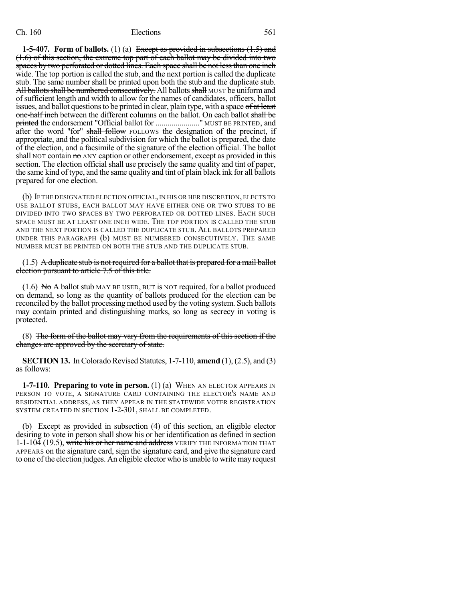**1-5-407. Form of ballots.** (1) (a) Except as provided in subsections (1.5) and (1.6) of this section, the extreme top part of each ballot may be divided into two spaces by two perforated or dotted lines. Each space shall be not less than one inch wide. The top portion is called the stub, and the next portion is called the duplicate stub. The same number shall be printed upon both the stub and the duplicate stub. All ballots shall be numbered consecutively. All ballots shall MUST be uniform and of sufficient length and width to allow for the names of candidates, officers, ballot issues, and ballot questions to be printed in clear, plain type, with a space of at least one-half inch between the different columns on the ballot. On each ballot shall be printed the endorsement "Official ballot for ......................." MUST BE PRINTED, and after the word "for" shall follow FOLLOWS the designation of the precinct, if appropriate, and the political subdivision for which the ballot is prepared, the date of the election, and a facsimile of the signature of the election official. The ballot shall NOT contain no ANY caption or other endorsement, except as provided in this section. The election official shall use precisely the same quality and tint of paper, the same kind of type, and the same quality and tint of plain black ink for all ballots prepared for one election.

(b) IF THE DESIGNATED ELECTION OFFICIAL, IN HIS OR HER DISCRETION, ELECTS TO USE BALLOT STUBS, EACH BALLOT MAY HAVE EITHER ONE OR TWO STUBS TO BE DIVIDED INTO TWO SPACES BY TWO PERFORATED OR DOTTED LINES. EACH SUCH SPACE MUST BE AT LEAST ONE INCH WIDE. THE TOP PORTION IS CALLED THE STUB AND THE NEXT PORTION IS CALLED THE DUPLICATE STUB. ALL BALLOTS PREPARED UNDER THIS PARAGRAPH (b) MUST BE NUMBERED CONSECUTIVELY. THE SAME NUMBER MUST BE PRINTED ON BOTH THE STUB AND THE DUPLICATE STUB.

#### (1.5) A duplicate stub is not required for a ballot that is prepared for a mail ballot election pursuant to article 7.5 of this title.

 $(1.6)$  No A ballot stub MAY BE USED, BUT is NOT required, for a ballot produced on demand, so long as the quantity of ballots produced for the election can be reconciled by the ballot processing method used by the voting system. Such ballots may contain printed and distinguishing marks, so long as secrecy in voting is protected.

(8) The form of the ballot may vary from the requirements of this section if the changes are approved by the secretary of state.

**SECTION 13.** In Colorado Revised Statutes, 1-7-110, **amend** (1), (2.5), and (3) as follows:

**1-7-110. Preparing to vote in person.** (1) (a) WHEN AN ELECTOR APPEARS IN PERSON TO VOTE, A SIGNATURE CARD CONTAINING THE ELECTOR'S NAME AND RESIDENTIAL ADDRESS, AS THEY APPEAR IN THE STATEWIDE VOTER REGISTRATION SYSTEM CREATED IN SECTION 1-2-301, SHALL BE COMPLETED.

(b) Except as provided in subsection (4) of this section, an eligible elector desiring to vote in person shall show his or her identification as defined in section 1-1-104 (19.5), write his or her name and address VERIFY THE INFORMATION THAT APPEARS on the signature card, sign the signature card, and give the signature card to one of the election judges. An eligible elector who is unable to write may request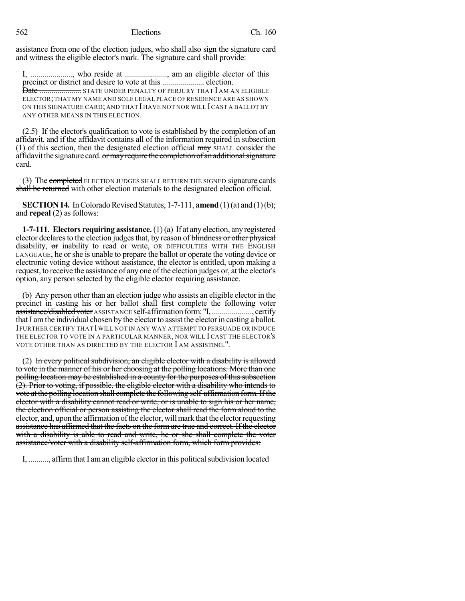assistance from one of the election judges, who shall also sign the signature card and witness the eligible elector's mark. The signature card shall provide:

I, ...................., who reside at ........................, am an eligible elector of this precinct or district and desire to vote at this ........................ election.

Date ..................... STATE UNDER PENALTY OF PERJURY THAT I AM AN ELIGIBLE ELECTOR;THAT MY NAME AND SOLE LEGAL PLACE OF RESIDENCE ARE AS SHOWN ON THIS SIGNATURE CARD; AND THAT I HAVE NOT NOR WILL ICAST A BALLOT BY ANY OTHER MEANS IN THIS ELECTION.

(2.5) If the elector's qualification to vote is established by the completion of an affidavit, and if the affidavit contains all of the information required in subsection  $(1)$  of this section, then the designated election official  $\frac{m}{m}$  SHALL consider the affidavit the signature card. or may require the completion of an additional signature card.

(3) The completed ELECTION JUDGES SHALL RETURN THE SIGNED signature cards shall be returned with other election materials to the designated election official.

**SECTION 14.** In Colorado Revised Statutes, 1-7-111, **amend** (1)(a) and (1)(b); and **repeal** (2) as follows:

**1-7-111. Electors requiring assistance.** (1) (a) If at any election, any registered elector declares to the election judges that, by reason of blindness or other physical disability,  $\sigma$ r inability to read or write, OR DIFFICULTIES WITH THE ENGLISH LANGUAGE, he orshe is unable to prepare the ballot or operate the voting device or electronic voting device without assistance, the elector is entitled, upon making a request, to receive the assistance of any one of the election judges or, at the elector's option, any person selected by the eligible elector requiring assistance.

(b) Any person other than an election judge who assists an eligible elector in the precinct in casting his or her ballot shall first complete the following voter assistance/disabledvoter ASSISTANCE self-affirmationform: "I, ...................., certify that I am the individual chosen by the elector to assist the elector in casting a ballot. IFURTHER CERTIFY THAT IWILL NOT IN ANY WAY ATTEMPT TO PERSUADE OR INDUCE THE ELECTOR TO VOTE IN A PARTICULAR MANNER, NOR WILL I CAST THE ELECTOR'S VOTE OTHER THAN AS DIRECTED BY THE ELECTOR I AM ASSISTING.".

(2) In every political subdivision, an eligible elector with a disability is allowed to vote in the manner of his or her choosing at the polling locations. More than one polling location may be established in a county for the purposes of this subsection (2). Prior to voting, if possible, the eligible elector with a disability who intends to vote at the polling location shall complete the following self-affirmation form. If the elector with a disability cannot read or write, or is unable to sign his or her name, the election official or person assisting the elector shall read the form aloud to the elector, and, uponthe affirmation ofthe elector,willmark thatthe electorrequesting assistance has affirmed that the facts on the form are true and correct. If the elector with a disability is able to read and write, he or she shall complete the voter assistance/voter with a disability self-affirmation form, which form provides:

I, .........., affirm that I am an eligible elector in this political subdivision located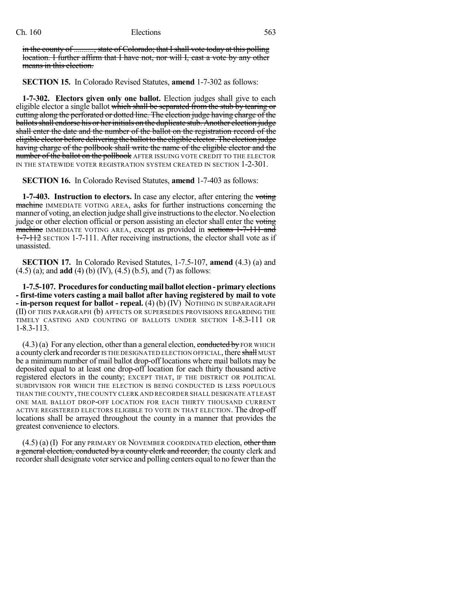in the county of .........., state of Colorado; that I shall vote today at this polling location. I further affirm that I have not, nor will I, cast a vote by any other means in this election.

**SECTION 15.** In Colorado Revised Statutes, **amend** 1-7-302 as follows:

**1-7-302. Electors given only one ballot.** Election judges shall give to each eligible elector a single ballot which shall be separated from the stub by tearing or cutting along the perforated or dotted line. The election judge having charge of the ballots shall endorse his or her initials on the duplicate stub. Another election judge shall enter the date and the number of the ballot on the registration record of the eligible elector before delivering the ballotto the eligible elector.The election judge having charge of the pollbook shall write the name of the eligible elector and the number of the ballot on the pollbook AFTER ISSUING VOTE CREDIT TO THE ELECTOR IN THE STATEWIDE VOTER REGISTRATION SYSTEM CREATED IN SECTION 1-2-301.

**SECTION 16.** In Colorado Revised Statutes, **amend** 1-7-403 as follows:

**1-7-403. Instruction to electors.** In case any elector, after entering the voting machine IMMEDIATE VOTING AREA, asks for further instructions concerning the manner of voting, an election judge shall give instructions to the elector. No election judge or other election official or person assisting an elector shall enter the voting machine IMMEDIATE VOTING AREA, except as provided in sections 1-7-111 and 1-7-112 SECTION 1-7-111. After receiving instructions, the elector shall vote as if unassisted.

**SECTION 17.** In Colorado Revised Statutes, 1-7.5-107, **amend** (4.3) (a) and (4.5) (a); and **add** (4) (b) (IV), (4.5) (b.5), and (7) as follows:

**1-7.5-107. Proceduresfor conductingmailballot election-primary elections - first-time voters casting a mail ballot after having registered by mail to vote - in-person request for ballot - repeal.** (4) (b) (IV) NOTHING IN SUBPARAGRAPH (II) OF THIS PARAGRAPH (b) AFFECTS OR SUPERSEDES PROVISIONS REGARDING THE TIMELY CASTING AND COUNTING OF BALLOTS UNDER SECTION 1-8.3-111 OR 1-8.3-113.

 $(4.3)(a)$  For any election, other than a general election, conducted by FOR WHICH a county clerk and recorder IS THE DESIGNATED ELECTION OFFICIAL, there shall MUST be a minimum number of mail ballot drop-off locations where mail ballots may be deposited equal to at least one drop-off location for each thirty thousand active registered electors in the county; EXCEPT THAT, IF THE DISTRICT OR POLITICAL SUBDIVISION FOR WHICH THE ELECTION IS BEING CONDUCTED IS LESS POPULOUS THAN THE COUNTY,THE COUNTY CLERK AND RECORDER SHALL DESIGNATE AT LEAST ONE MAIL BALLOT DROP-OFF LOCATION FOR EACH THIRTY THOUSAND CURRENT ACTIVE REGISTERED ELECTORS ELIGIBLE TO VOTE IN THAT ELECTION. The drop-off locations shall be arrayed throughout the county in a manner that provides the greatest convenience to electors.

 $(4.5)$  (a) (I) For any PRIMARY OR NOVEMBER COORDINATED election, other than a general election, conducted by a county clerk and recorder, the county clerk and recorder shall designate voter service and polling centers equal to no fewer than the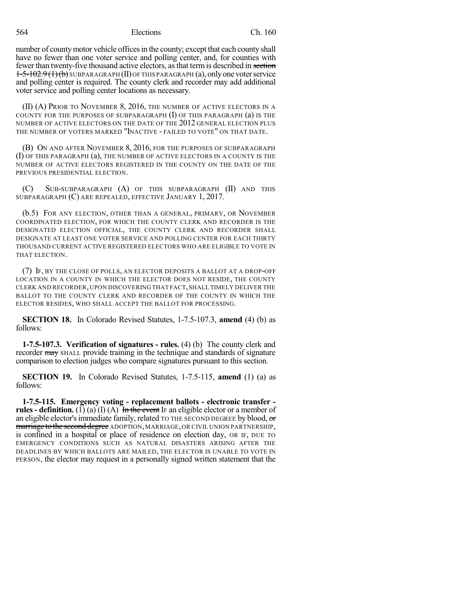number of county motor vehicle offices in the county; except that each county shall have no fewer than one voter service and polling center, and, for counties with fewer than twenty-five thousand active electors, asthat termis described in section  $1-5-102.9(1)(b)$  SUBPARAGRAPH (II) OF THIS PARAGRAPH (a), only one voter service and polling center is required. The county clerk and recorder may add additional voter service and polling center locations as necessary.

(II) (A) PRIOR TO NOVEMBER 8, 2016, THE NUMBER OF ACTIVE ELECTORS IN A COUNTY FOR THE PURPOSES OF SUBPARAGRAPH (I) OF THIS PARAGRAPH (a) IS THE NUMBER OF ACTIVE ELECTORS ON THE DATE OF THE 2012 GENERAL ELECTION PLUS THE NUMBER OF VOTERS MARKED "INACTIVE - FAILED TO VOTE" ON THAT DATE.

(B) ON AND AFTER NOVEMBER 8, 2016, FOR THE PURPOSES OF SUBPARAGRAPH (I) OF THIS PARAGRAPH (a), THE NUMBER OF ACTIVE ELECTORS IN A COUNTY IS THE NUMBER OF ACTIVE ELECTORS REGISTERED IN THE COUNTY ON THE DATE OF THE PREVIOUS PRESIDENTIAL ELECTION.

(C) SUB-SUBPARAGRAPH (A) OF THIS SUBPARAGRAPH (II) AND THIS SUBPARAGRAPH (C) ARE REPEALED, EFFECTIVE JANUARY 1, 2017.

(b.5) FOR ANY ELECTION, OTHER THAN A GENERAL, PRIMARY, OR NOVEMBER COORDINATED ELECTION, FOR WHICH THE COUNTY CLERK AND RECORDER IS THE DESIGNATED ELECTION OFFICIAL, THE COUNTY CLERK AND RECORDER SHALL DESIGNATE AT LEAST ONE VOTER SERVICE AND POLLING CENTER FOR EACH THIRTY THOUSAND CURRENT ACTIVE REGISTERED ELECTORS WHO ARE ELIGIBLE TO VOTE IN THAT ELECTION.

(7) IF, BY THE CLOSE OF POLLS, AN ELECTOR DEPOSITS A BALLOT AT A DROP-OFF LOCATION IN A COUNTY IN WHICH THE ELECTOR DOES NOT RESIDE, THE COUNTY CLERK AND RECORDER, UPON DISCOVERING THAT FACT,SHALL TIMELY DELIVER THE BALLOT TO THE COUNTY CLERK AND RECORDER OF THE COUNTY IN WHICH THE ELECTOR RESIDES, WHO SHALL ACCEPT THE BALLOT FOR PROCESSING.

**SECTION 18.** In Colorado Revised Statutes, 1-7.5-107.3, **amend** (4) (b) as follows:

**1-7.5-107.3. Verification of signatures - rules.** (4) (b) The county clerk and recorder may SHALL provide training in the technique and standards of signature comparison to election judges who compare signatures pursuant to this section.

**SECTION 19.** In Colorado Revised Statutes, 1-7.5-115, **amend** (1) (a) as follows:

**1-7.5-115. Emergency voting - replacement ballots - electronic transfer rules - definition.** (1) (a) (I) (A) In the event IF an eligible elector or a member of an eligible elector's immediate family, related TO THE SECOND DEGREE by blood,  $\sigma$ marriage to the second degree ADOPTION, MARRIAGE, OR CIVIL UNION PARTNERSHIP, is confined in a hospital or place of residence on election day, OR IF, DUE TO EMERGENCY CONDITIONS SUCH AS NATURAL DISASTERS ARISING AFTER THE DEADLINES BY WHICH BALLOTS ARE MAILED, THE ELECTOR IS UNABLE TO VOTE IN PERSON, the elector may request in a personally signed written statement that the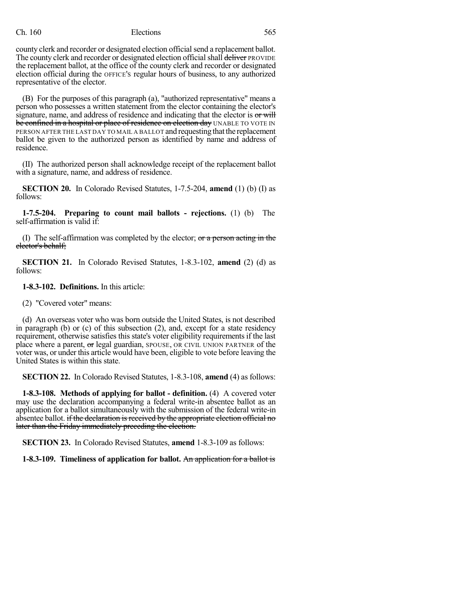county clerk and recorder or designated election official send a replacement ballot. The county clerk and recorder or designated election official shall deliver PROVIDE the replacement ballot, at the office of the county clerk and recorder or designated election official during the OFFICE'S regular hours of business, to any authorized representative of the elector.

(B) For the purposes of this paragraph (a), "authorized representative" means a person who possesses a written statement from the elector containing the elector's signature, name, and address of residence and indicating that the elector is or will be confined in a hospital or place of residence on election day UNABLE TO VOTE IN PERSON AFTER THE LAST DAY TO MAIL A BALLOT and requesting that the replacement ballot be given to the authorized person as identified by name and address of residence.

(II) The authorized person shall acknowledge receipt of the replacement ballot with a signature, name, and address of residence.

**SECTION 20.** In Colorado Revised Statutes, 1-7.5-204, **amend** (1) (b) (I) as follows:

**1-7.5-204. Preparing to count mail ballots - rejections.** (1) (b) The self-affirmation is valid if:

(I) The self-affirmation was completed by the elector;  $\sigma r$  a person acting in the elector's behalf;

**SECTION 21.** In Colorado Revised Statutes, 1-8.3-102, **amend** (2) (d) as follows:

**1-8.3-102. Definitions.** In this article:

(2) "Covered voter" means:

(d) An overseas voter who was born outside the United States, is not described in paragraph (b) or (c) of this subsection (2), and, except for a state residency requirement, otherwise satisfies this state's voter eligibility requirements if the last place where a parent, or legal guardian, SPOUSE, OR CIVIL UNION PARTNER of the voter was, or under this article would have been, eligible to vote before leaving the United States is within this state.

**SECTION 22.** In Colorado Revised Statutes, 1-8.3-108, **amend** (4) as follows:

**1-8.3-108. Methods of applying for ballot - definition.** (4) A covered voter may use the declaration accompanying a federal write-in absentee ballot as an application for a ballot simultaneously with the submission of the federal write-in absentee ballot. if the declaration is received by the appropriate election official no later than the Friday immediately preceding the election.

**SECTION 23.** In Colorado Revised Statutes, **amend** 1-8.3-109 as follows:

**1-8.3-109. Timeliness of application for ballot.** An application for a ballot is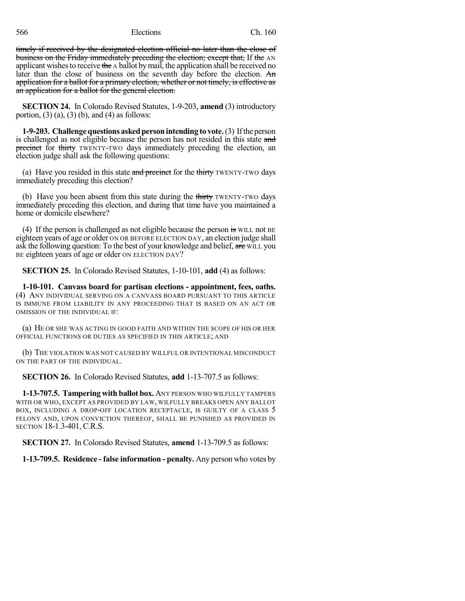timely if received by the designated election official no later than the close of business on the Friday immediately preceding the election; except that, If the AN applicant wishes to receive the  $\alpha$  ballot by mail, the application shall be received no later than the close of business on the seventh day before the election. An application for a ballot for a primary election, whether or not timely, is effective as an application for a ballot for the general election.

**SECTION 24.** In Colorado Revised Statutes, 1-9-203, **amend** (3) introductory portion,  $(3)$   $(a)$ ,  $(3)$   $(b)$ , and  $(4)$  as follows:

**1-9-203. Challengequestions askedpersonintending to vote.**(3) Ifthe person is challenged as not eligible because the person has not resided in this state and precinct for thirty TWENTY-TWO days immediately preceding the election, an election judge shall ask the following questions:

(a) Have you resided in this state and precinct for the thirty TWENTY-TWO days immediately preceding this election?

(b) Have you been absent from this state during the thirty TWENTY-TWO days immediately preceding this election, and during that time have you maintained a home or domicile elsewhere?

(4) If the person is challenged as not eligible because the person  $\mathbf{\dot{s}}$  will not BE eighteen years of age or older ON OR BEFORE ELECTION DAY, an election judge shall ask the following question: To the best of your knowledge and belief, are WILL you BE eighteen years of age or older ON ELECTION DAY?

**SECTION 25.** In Colorado Revised Statutes, 1-10-101, **add** (4) as follows:

**1-10-101. Canvass board for partisan elections - appointment, fees, oaths.** (4) ANY INDIVIDUAL SERVING ON A CANVASS BOARD PURSUANT TO THIS ARTICLE IS IMMUNE FROM LIABILITY IN ANY PROCEEDING THAT IS BASED ON AN ACT OR OMISSION OF THE INDIVIDUAL IF:

(a) HE OR SHE WAS ACTING IN GOOD FAITH AND WITHIN THE SCOPE OF HIS OR HER OFFICIAL FUNCTIONS OR DUTIES AS SPECIFIED IN THIS ARTICLE; AND

(b) THE VIOLATION WAS NOT CAUSED BY WILLFUL OR INTENTIONAL MISCONDUCT ON THE PART OF THE INDIVIDUAL.

**SECTION 26.** In Colorado Revised Statutes, **add** 1-13-707.5 as follows:

**1-13-707.5. Tampering with ballot box.** ANY PERSON WHO WILFULLY TAMPERS WITH OR WHO, EXCEPT AS PROVIDED BY LAW, WILFULLY BREAKS OPEN ANY BALLOT BOX, INCLUDING A DROP-OFF LOCATION RECEPTACLE, IS GUILTY OF A CLASS 5 FELONY AND, UPON CONVICTION THEREOF, SHALL BE PUNISHED AS PROVIDED IN SECTION 18-1.3-401, C.R.S.

**SECTION 27.** In Colorado Revised Statutes, **amend** 1-13-709.5 as follows:

**1-13-709.5. Residence - false information - penalty.** Any person who votes by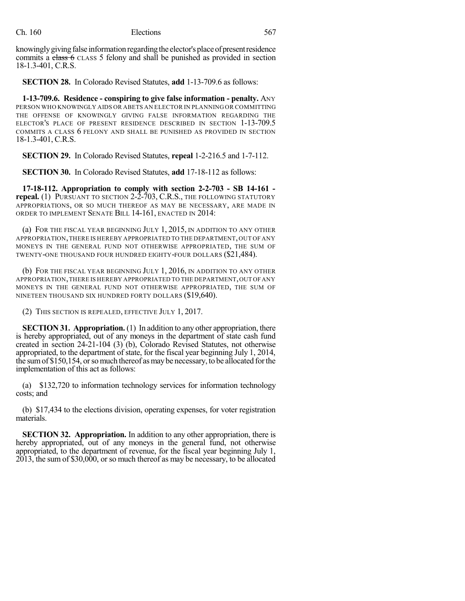knowingly giving false information regarding the elector's place of present residence commits a class 6 CLASS 5 felony and shall be punished as provided in section 18-1.3-401, C.R.S.

**SECTION 28.** In Colorado Revised Statutes, **add** 1-13-709.6 as follows:

**1-13-709.6. Residence - conspiring to give false information - penalty.** ANY PERSON WHO KNOWINGLY AIDS OR ABETS AN ELECTOR IN PLANNING OR COMMITTING THE OFFENSE OF KNOWINGLY GIVING FALSE INFORMATION REGARDING THE ELECTOR'S PLACE OF PRESENT RESIDENCE DESCRIBED IN SECTION 1-13-709.5 COMMITS A CLASS 6 FELONY AND SHALL BE PUNISHED AS PROVIDED IN SECTION 18-1.3-401, C.R.S.

**SECTION 29.** In Colorado Revised Statutes, **repeal** 1-2-216.5 and 1-7-112.

**SECTION 30.** In Colorado Revised Statutes, **add** 17-18-112 as follows:

**17-18-112. Appropriation to comply with section 2-2-703 - SB 14-161 repeal.** (1) PURSUANT TO SECTION 2-2-703, C.R.S., THE FOLLOWING STATUTORY APPROPRIATIONS, OR SO MUCH THEREOF AS MAY BE NECESSARY, ARE MADE IN ORDER TO IMPLEMENT SENATE BILL 14-161, ENACTED IN 2014:

(a) FOR THE FISCAL YEAR BEGINNING JULY 1, 2015, IN ADDITION TO ANY OTHER APPROPRIATION,THERE IS HEREBY APPROPRIATED TO THE DEPARTMENT,OUT OF ANY MONEYS IN THE GENERAL FUND NOT OTHERWISE APPROPRIATED, THE SUM OF TWENTY-ONE THOUSAND FOUR HUNDRED EIGHTY-FOUR DOLLARS (\$21,484).

(b) FOR THE FISCAL YEAR BEGINNING JULY 1, 2016, IN ADDITION TO ANY OTHER APPROPRIATION,THERE IS HEREBY APPROPRIATED TO THE DEPARTMENT,OUT OFANY MONEYS IN THE GENERAL FUND NOT OTHERWISE APPROPRIATED, THE SUM OF NINETEEN THOUSAND SIX HUNDRED FORTY DOLLARS (\$19,640).

(2) THIS SECTION IS REPEALED, EFFECTIVE JULY 1, 2017.

**SECTION 31. Appropriation.** (1) In addition to any other appropriation, there is hereby appropriated, out of any moneys in the department of state cash fund created in section 24-21-104 (3) (b), Colorado Revised Statutes, not otherwise appropriated, to the department of state, for the fiscal year beginning July 1, 2014, the sumof \$150,154, orsomuch thereof asmaybe necessary, to be allocated forthe implementation of this act as follows:

(a) \$132,720 to information technology services for information technology costs; and

(b) \$17,434 to the elections division, operating expenses, for voter registration materials.

**SECTION 32. Appropriation.** In addition to any other appropriation, there is hereby appropriated, out of any moneys in the general fund, not otherwise appropriated, to the department of revenue, for the fiscal year beginning July 1, 2013, the sum of \$30,000, or so much thereof as may be necessary, to be allocated